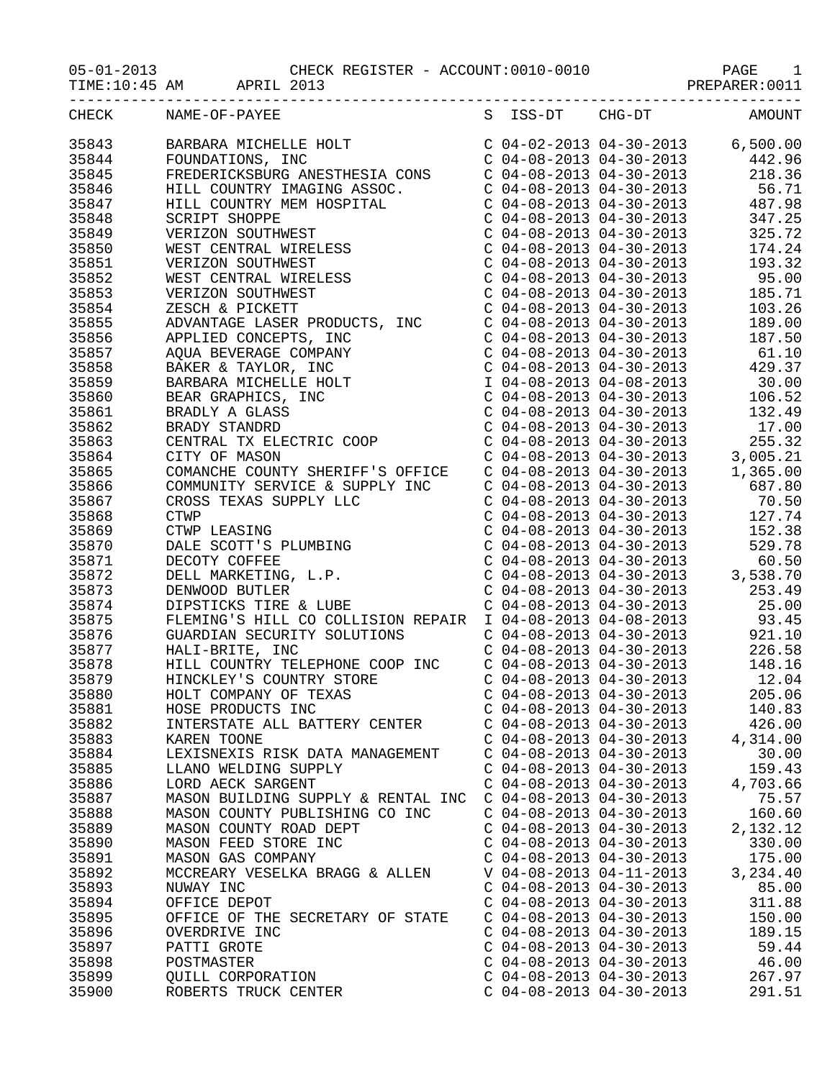05-01-2013 CHECK<br>TIME:10:45 AM APRIL 2013

|       | CHECK NAME-OF-PAYEE                                                                                                                                                                                                                                                                                                                                                                              |                           | S ISS-DT CHG-DT AMOUNT                                                                                                                                                                                                                                                                     |          |       |
|-------|--------------------------------------------------------------------------------------------------------------------------------------------------------------------------------------------------------------------------------------------------------------------------------------------------------------------------------------------------------------------------------------------------|---------------------------|--------------------------------------------------------------------------------------------------------------------------------------------------------------------------------------------------------------------------------------------------------------------------------------------|----------|-------|
| 35843 |                                                                                                                                                                                                                                                                                                                                                                                                  |                           |                                                                                                                                                                                                                                                                                            |          |       |
| 35844 |                                                                                                                                                                                                                                                                                                                                                                                                  |                           |                                                                                                                                                                                                                                                                                            |          |       |
| 35845 |                                                                                                                                                                                                                                                                                                                                                                                                  |                           |                                                                                                                                                                                                                                                                                            |          |       |
| 35846 | $\begin{tabular}{l c c c c c} \hline \texttt{FREDERICCSBURG ANESTHESTA CONS} & $\circ$ & $\circ$ & $04-08-2013$ & $04-30-2013$ \\ \hline \texttt{HILL COUNTRY IMAGING ASSOC} & $\circ$ & $04-08-2013$ & $04-30-2013$ \\ \hline \texttt{HILL COUNTRY IMAGING ASSOC} & $\circ$ & $04-08-2013$ & $04-30-2013$ \\ \hline \texttt{SCRIFT SLOPPE} & $\circ$ & $04-08-2013$ & $04-30-2013$ \\ \hline \$ |                           |                                                                                                                                                                                                                                                                                            |          |       |
| 35847 |                                                                                                                                                                                                                                                                                                                                                                                                  |                           | $\begin{array}{llllll} \mbox{C} & 04-08-2013 & 04-30-2013 & 56.71 \\ \mbox{C} & 04-08-2013 & 04-30-2013 & 487.98 \\ \mbox{C} & 04-08-2013 & 04-30-2013 & 347.25 \end{array}$                                                                                                               |          |       |
|       |                                                                                                                                                                                                                                                                                                                                                                                                  |                           |                                                                                                                                                                                                                                                                                            |          |       |
| 35848 |                                                                                                                                                                                                                                                                                                                                                                                                  |                           |                                                                                                                                                                                                                                                                                            |          |       |
| 35849 |                                                                                                                                                                                                                                                                                                                                                                                                  |                           |                                                                                                                                                                                                                                                                                            | 325.72   |       |
| 35850 |                                                                                                                                                                                                                                                                                                                                                                                                  |                           |                                                                                                                                                                                                                                                                                            | 174.24   |       |
| 35851 |                                                                                                                                                                                                                                                                                                                                                                                                  |                           | $\begin{array}{llllll} \mbox{C} & 04-08-2013 & 04-30-2013 & 193.32 \\ \mbox{C} & 04-08-2013 & 04-30-2013 & 95.00 \\ \mbox{C} & 04-08-2013 & 04-30-2013 & 185.71 \end{array}$                                                                                                               |          |       |
| 35852 |                                                                                                                                                                                                                                                                                                                                                                                                  |                           |                                                                                                                                                                                                                                                                                            |          |       |
| 35853 |                                                                                                                                                                                                                                                                                                                                                                                                  |                           |                                                                                                                                                                                                                                                                                            |          |       |
| 35854 |                                                                                                                                                                                                                                                                                                                                                                                                  |                           |                                                                                                                                                                                                                                                                                            | 103.26   |       |
| 35855 |                                                                                                                                                                                                                                                                                                                                                                                                  |                           |                                                                                                                                                                                                                                                                                            | 189.00   |       |
| 35856 |                                                                                                                                                                                                                                                                                                                                                                                                  |                           |                                                                                                                                                                                                                                                                                            | 187.50   |       |
| 35857 |                                                                                                                                                                                                                                                                                                                                                                                                  |                           | $\begin{tabular}{lllllllllll} $\text{C}$&04--08--2013 &04--30--2013 & & & & & & & & & 61\,.10\\ $\text{C}$&04--08--2013 &04--30--2013 & & & & & & 429\,.37\\ $\text{I}$&04--08--2013 &04--08--2013 & & & & 30\,.00\\ $\text{C}$&04--08--2013 &04--30--2013 & & & 106\,.52\\ \end{tabular}$ |          |       |
| 35858 |                                                                                                                                                                                                                                                                                                                                                                                                  |                           |                                                                                                                                                                                                                                                                                            |          |       |
| 35859 |                                                                                                                                                                                                                                                                                                                                                                                                  |                           |                                                                                                                                                                                                                                                                                            |          |       |
| 35860 |                                                                                                                                                                                                                                                                                                                                                                                                  |                           |                                                                                                                                                                                                                                                                                            |          |       |
| 35861 |                                                                                                                                                                                                                                                                                                                                                                                                  |                           |                                                                                                                                                                                                                                                                                            | 132.49   |       |
| 35862 | BRADY STANDRD<br>CENTRAL TX ELECTRIC COOP<br>CENTRAL TX ELECTRIC COOP C 04-08-2013 04-30-2013 17.00<br>CITY OF MASON C 04-08-2013 04-30-2013 3,005.21<br>COMANCHE COUNTY SHERIFF'S OFFICE C 04-08-2013 04-30-2013 1,365.00                                                                                                                                                                       |                           |                                                                                                                                                                                                                                                                                            |          |       |
| 35863 |                                                                                                                                                                                                                                                                                                                                                                                                  |                           |                                                                                                                                                                                                                                                                                            |          |       |
| 35864 |                                                                                                                                                                                                                                                                                                                                                                                                  |                           |                                                                                                                                                                                                                                                                                            |          |       |
| 35865 |                                                                                                                                                                                                                                                                                                                                                                                                  |                           |                                                                                                                                                                                                                                                                                            |          |       |
| 35866 | COMMUNITY SERVICE & SUPPLY INC  C 04-08-2013 04-30-2013  687.80                                                                                                                                                                                                                                                                                                                                  |                           |                                                                                                                                                                                                                                                                                            |          |       |
| 35867 |                                                                                                                                                                                                                                                                                                                                                                                                  |                           |                                                                                                                                                                                                                                                                                            |          |       |
| 35868 |                                                                                                                                                                                                                                                                                                                                                                                                  |                           |                                                                                                                                                                                                                                                                                            |          |       |
| 35869 |                                                                                                                                                                                                                                                                                                                                                                                                  |                           |                                                                                                                                                                                                                                                                                            |          |       |
| 35870 |                                                                                                                                                                                                                                                                                                                                                                                                  |                           |                                                                                                                                                                                                                                                                                            |          |       |
| 35871 |                                                                                                                                                                                                                                                                                                                                                                                                  |                           |                                                                                                                                                                                                                                                                                            |          |       |
| 35872 |                                                                                                                                                                                                                                                                                                                                                                                                  |                           |                                                                                                                                                                                                                                                                                            |          |       |
| 35873 |                                                                                                                                                                                                                                                                                                                                                                                                  |                           |                                                                                                                                                                                                                                                                                            |          |       |
| 35874 | DENWOOD BUTLER<br>DIPSTICKS TIRE & LUBE<br>PLEMING'S HILL CO COLLISION REPAIR I 04-08-2013 04-30-2013<br>PLEMING'S HILL CO COLLISION REPAIR I 04-08-2013 04-08-2013 93.45                                                                                                                                                                                                                        |                           |                                                                                                                                                                                                                                                                                            |          |       |
| 35875 |                                                                                                                                                                                                                                                                                                                                                                                                  |                           |                                                                                                                                                                                                                                                                                            |          |       |
| 35876 | GUARDIAN SECURITY SOLUTIONS                                                                                                                                                                                                                                                                                                                                                                      |                           | $C$ 04-08-2013 04-30-2013 921.10                                                                                                                                                                                                                                                           |          |       |
| 35877 | <b>ONS</b><br>HALI-BRITE, INC                                                                                                                                                                                                                                                                                                                                                                    |                           | $C$ 04-08-2013 04-30-2013                                                                                                                                                                                                                                                                  | 226.58   |       |
| 35878 | HILL COUNTRY TELEPHONE COOP INC C 04-08-2013 04-30-2013                                                                                                                                                                                                                                                                                                                                          |                           |                                                                                                                                                                                                                                                                                            | 148.16   |       |
| 35879 |                                                                                                                                                                                                                                                                                                                                                                                                  |                           |                                                                                                                                                                                                                                                                                            |          |       |
| 35880 | HINCKLEY'S COUNTRY STORE<br>HOLT COMPANY OF TEXAS                                                                                                                                                                                                                                                                                                                                                |                           | $\begin{array}{cccccc}\nC & 04-08-2013 & 04-30-2013 & & & 12.04 \\ C & 04-08-2013 & 04-30-2013 & & & 205.06\n\end{array}$                                                                                                                                                                  |          |       |
| 35881 | HOSE PRODUCTS INC                                                                                                                                                                                                                                                                                                                                                                                | $C$ 04-08-2013 04-30-2013 |                                                                                                                                                                                                                                                                                            | 140.83   |       |
| 35882 | INTERSTATE ALL BATTERY CENTER                                                                                                                                                                                                                                                                                                                                                                    | $C$ 04-08-2013 04-30-2013 |                                                                                                                                                                                                                                                                                            | 426.00   |       |
| 35883 | KAREN TOONE                                                                                                                                                                                                                                                                                                                                                                                      | $C$ 04-08-2013 04-30-2013 |                                                                                                                                                                                                                                                                                            | 4,314.00 |       |
| 35884 | LEXISNEXIS RISK DATA MANAGEMENT                                                                                                                                                                                                                                                                                                                                                                  | $C$ 04-08-2013 04-30-2013 |                                                                                                                                                                                                                                                                                            |          | 30.00 |
| 35885 | LLANO WELDING SUPPLY                                                                                                                                                                                                                                                                                                                                                                             | $C$ 04-08-2013 04-30-2013 |                                                                                                                                                                                                                                                                                            | 159.43   |       |
| 35886 |                                                                                                                                                                                                                                                                                                                                                                                                  |                           |                                                                                                                                                                                                                                                                                            | 4,703.66 |       |
|       | LORD AECK SARGENT                                                                                                                                                                                                                                                                                                                                                                                | $C$ 04-08-2013 04-30-2013 |                                                                                                                                                                                                                                                                                            |          |       |
| 35887 | MASON BUILDING SUPPLY & RENTAL INC                                                                                                                                                                                                                                                                                                                                                               | $C$ 04-08-2013 04-30-2013 |                                                                                                                                                                                                                                                                                            |          | 75.57 |
| 35888 | MASON COUNTY PUBLISHING CO INC                                                                                                                                                                                                                                                                                                                                                                   | $C$ 04-08-2013 04-30-2013 |                                                                                                                                                                                                                                                                                            | 160.60   |       |
| 35889 | MASON COUNTY ROAD DEPT                                                                                                                                                                                                                                                                                                                                                                           | $C$ 04-08-2013 04-30-2013 |                                                                                                                                                                                                                                                                                            | 2,132.12 |       |
| 35890 | MASON FEED STORE INC                                                                                                                                                                                                                                                                                                                                                                             | $C$ 04-08-2013 04-30-2013 |                                                                                                                                                                                                                                                                                            | 330.00   |       |
| 35891 | MASON GAS COMPANY                                                                                                                                                                                                                                                                                                                                                                                | $C$ 04-08-2013 04-30-2013 |                                                                                                                                                                                                                                                                                            | 175.00   |       |
| 35892 | MCCREARY VESELKA BRAGG & ALLEN                                                                                                                                                                                                                                                                                                                                                                   | V 04-08-2013 04-11-2013   |                                                                                                                                                                                                                                                                                            | 3,234.40 |       |
| 35893 | NUWAY INC                                                                                                                                                                                                                                                                                                                                                                                        | $C$ 04-08-2013 04-30-2013 |                                                                                                                                                                                                                                                                                            |          | 85.00 |
| 35894 | OFFICE DEPOT                                                                                                                                                                                                                                                                                                                                                                                     | $C$ 04-08-2013 04-30-2013 |                                                                                                                                                                                                                                                                                            | 311.88   |       |
| 35895 | OFFICE OF THE SECRETARY OF STATE                                                                                                                                                                                                                                                                                                                                                                 | $C$ 04-08-2013 04-30-2013 |                                                                                                                                                                                                                                                                                            | 150.00   |       |
| 35896 | OVERDRIVE INC                                                                                                                                                                                                                                                                                                                                                                                    | $C$ 04-08-2013 04-30-2013 |                                                                                                                                                                                                                                                                                            | 189.15   |       |
| 35897 | PATTI GROTE                                                                                                                                                                                                                                                                                                                                                                                      | $C$ 04-08-2013 04-30-2013 |                                                                                                                                                                                                                                                                                            |          | 59.44 |
| 35898 | POSTMASTER                                                                                                                                                                                                                                                                                                                                                                                       | $C$ 04-08-2013 04-30-2013 |                                                                                                                                                                                                                                                                                            |          | 46.00 |
| 35899 | <b>OUILL CORPORATION</b>                                                                                                                                                                                                                                                                                                                                                                         | $C$ 04-08-2013 04-30-2013 |                                                                                                                                                                                                                                                                                            | 267.97   |       |
| 35900 | ROBERTS TRUCK CENTER                                                                                                                                                                                                                                                                                                                                                                             | $C$ 04-08-2013 04-30-2013 |                                                                                                                                                                                                                                                                                            | 291.51   |       |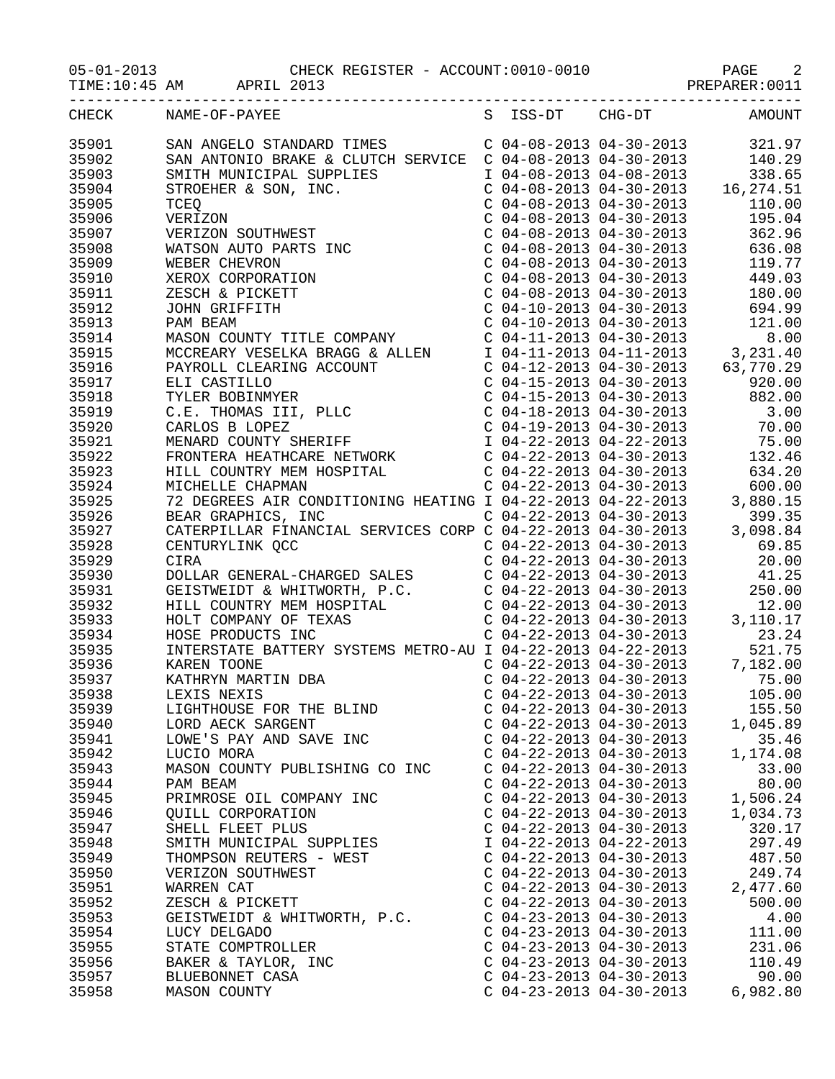TIME:10:45 AM APRIL 2013 2013 APRIL 2013

|       | S ISS-DT CHG-DT AMOUNT<br>CHECK NAME-OF-PAYEE                                                                                                                                                                                         |                           |                           |          |
|-------|---------------------------------------------------------------------------------------------------------------------------------------------------------------------------------------------------------------------------------------|---------------------------|---------------------------|----------|
| 35901 | SAN ANGELO STANDARD TIMES CO $04-08-2013$ 04-19-2013<br>SAN ANTONIO BRAKE & CUITCI SERVICE C $04-08-2013$ 04-19-2013<br>STROBERS 4: COPULES CONDEXERENT COPENES CONDENSITY (CONDENSITY AND CONDENSITY CONDENSITY CONDENSITY CONDENSIT |                           |                           |          |
| 35902 |                                                                                                                                                                                                                                       |                           |                           |          |
| 35903 |                                                                                                                                                                                                                                       |                           |                           |          |
| 35904 |                                                                                                                                                                                                                                       |                           |                           |          |
| 35905 |                                                                                                                                                                                                                                       |                           |                           |          |
| 35906 |                                                                                                                                                                                                                                       |                           |                           |          |
| 35907 |                                                                                                                                                                                                                                       |                           |                           |          |
| 35908 |                                                                                                                                                                                                                                       |                           |                           |          |
| 35909 |                                                                                                                                                                                                                                       |                           |                           |          |
| 35910 |                                                                                                                                                                                                                                       |                           |                           |          |
| 35911 |                                                                                                                                                                                                                                       |                           |                           |          |
|       |                                                                                                                                                                                                                                       |                           |                           |          |
| 35912 |                                                                                                                                                                                                                                       |                           |                           |          |
| 35913 |                                                                                                                                                                                                                                       |                           |                           |          |
| 35914 |                                                                                                                                                                                                                                       |                           |                           |          |
| 35915 |                                                                                                                                                                                                                                       |                           |                           |          |
| 35916 |                                                                                                                                                                                                                                       |                           |                           |          |
| 35917 |                                                                                                                                                                                                                                       |                           |                           |          |
| 35918 |                                                                                                                                                                                                                                       |                           |                           |          |
| 35919 |                                                                                                                                                                                                                                       |                           |                           |          |
| 35920 |                                                                                                                                                                                                                                       |                           |                           |          |
| 35921 |                                                                                                                                                                                                                                       |                           |                           |          |
| 35922 |                                                                                                                                                                                                                                       |                           |                           |          |
| 35923 |                                                                                                                                                                                                                                       |                           |                           |          |
| 35924 |                                                                                                                                                                                                                                       |                           |                           |          |
| 35925 |                                                                                                                                                                                                                                       |                           |                           |          |
| 35926 |                                                                                                                                                                                                                                       |                           |                           |          |
| 35927 |                                                                                                                                                                                                                                       |                           |                           |          |
| 35928 |                                                                                                                                                                                                                                       |                           |                           |          |
| 35929 |                                                                                                                                                                                                                                       |                           |                           |          |
| 35930 |                                                                                                                                                                                                                                       |                           |                           |          |
| 35931 |                                                                                                                                                                                                                                       |                           |                           |          |
| 35932 |                                                                                                                                                                                                                                       |                           |                           |          |
| 35933 |                                                                                                                                                                                                                                       |                           |                           |          |
| 35934 |                                                                                                                                                                                                                                       |                           |                           |          |
| 35935 |                                                                                                                                                                                                                                       |                           |                           |          |
| 35936 | INTERSTATE BATTERY SYSIEMS MEIRS<br>KAREN TOONE<br>KATHRYN MARTIN DBA<br>LEXIS NEXIS<br>LIGHTHOUSE FOR THE BLIND<br>TARRY SARGENT                                                                                                     |                           |                           |          |
| 35937 |                                                                                                                                                                                                                                       |                           |                           |          |
| 35938 |                                                                                                                                                                                                                                       |                           |                           |          |
| 35939 |                                                                                                                                                                                                                                       |                           | $C$ 04-22-2013 04-30-2013 | 155.50   |
| 35940 |                                                                                                                                                                                                                                       | $C$ 04-22-2013 04-30-2013 |                           | 1,045.89 |
| 35941 | LOWE'S PAY AND SAVE INC                                                                                                                                                                                                               | $C$ 04-22-2013 04-30-2013 |                           | 35.46    |
| 35942 | LUCIO MORA                                                                                                                                                                                                                            | $C$ 04-22-2013 04-30-2013 |                           | 1,174.08 |
| 35943 | MASON COUNTY PUBLISHING CO INC                                                                                                                                                                                                        | $C$ 04-22-2013 04-30-2013 |                           | 33.00    |
| 35944 | PAM BEAM                                                                                                                                                                                                                              | $C$ 04-22-2013 04-30-2013 |                           | 80.00    |
|       | PRIMROSE OIL COMPANY INC                                                                                                                                                                                                              | $C$ 04-22-2013 04-30-2013 |                           | 1,506.24 |
| 35945 |                                                                                                                                                                                                                                       |                           |                           |          |
| 35946 | <b>QUILL CORPORATION</b>                                                                                                                                                                                                              | $C$ 04-22-2013 04-30-2013 |                           | 1,034.73 |
| 35947 | SHELL FLEET PLUS                                                                                                                                                                                                                      | $C$ 04-22-2013 04-30-2013 |                           | 320.17   |
| 35948 | SMITH MUNICIPAL SUPPLIES                                                                                                                                                                                                              | I 04-22-2013 04-22-2013   |                           | 297.49   |
| 35949 | THOMPSON REUTERS - WEST                                                                                                                                                                                                               | $C$ 04-22-2013 04-30-2013 |                           | 487.50   |
| 35950 | VERIZON SOUTHWEST                                                                                                                                                                                                                     | $C$ 04-22-2013 04-30-2013 |                           | 249.74   |
| 35951 | WARREN CAT                                                                                                                                                                                                                            | $C$ 04-22-2013 04-30-2013 |                           | 2,477.60 |
| 35952 | ZESCH & PICKETT                                                                                                                                                                                                                       | $C$ 04-22-2013 04-30-2013 |                           | 500.00   |
| 35953 | GEISTWEIDT & WHITWORTH, P.C.                                                                                                                                                                                                          | $C$ 04-23-2013 04-30-2013 |                           | 4.00     |
| 35954 | LUCY DELGADO                                                                                                                                                                                                                          | $C$ 04-23-2013 04-30-2013 |                           | 111.00   |
| 35955 | STATE COMPTROLLER                                                                                                                                                                                                                     | $C$ 04-23-2013 04-30-2013 |                           | 231.06   |
| 35956 | BAKER & TAYLOR, INC                                                                                                                                                                                                                   | $C$ 04-23-2013 04-30-2013 |                           | 110.49   |
| 35957 | BLUEBONNET CASA                                                                                                                                                                                                                       | $C$ 04-23-2013 04-30-2013 |                           | 90.00    |
| 35958 | MASON COUNTY                                                                                                                                                                                                                          | $C$ 04-23-2013 04-30-2013 |                           | 6,982.80 |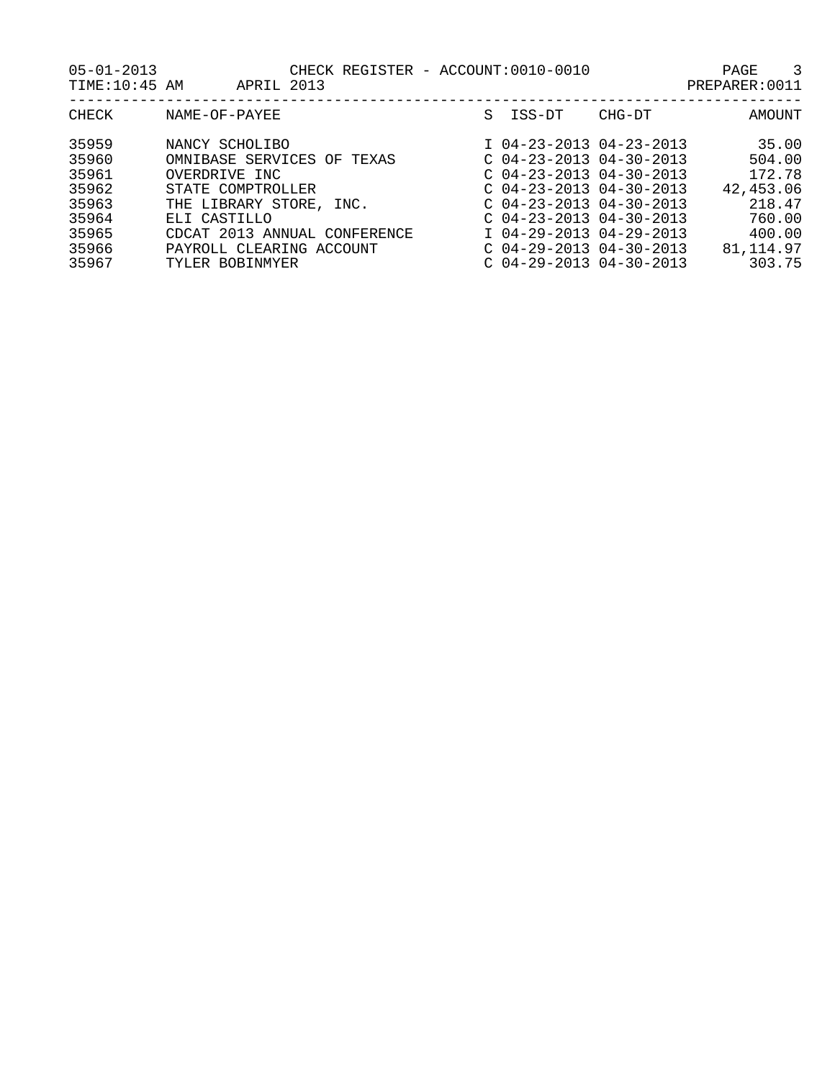| $05 - 01 - 2013$<br>TIME:10:45 AM |                                                               | APRIL 2013 |  | CHECK REGISTER - ACCOUNT:0010-0010                                                  |        | ્ર<br><b>PAGE</b><br>PREPARER: 0011 |
|-----------------------------------|---------------------------------------------------------------|------------|--|-------------------------------------------------------------------------------------|--------|-------------------------------------|
| CHECK                             | NAME-OF-PAYEE                                                 |            |  | S TSS-DT                                                                            | CHG-DT | AMOUNT                              |
| 35959<br>35960<br>35961           | NANCY SCHOLIBO<br>OMNIBASE SERVICES OF TEXAS<br>OVERDRIVE INC |            |  | $I$ 04-23-2013 04-23-2013<br>$C$ 04-23-2013 04-30-2013<br>$C$ 04-23-2013 04-30-2013 |        | 35.00<br>504.00<br>172.78           |

- 
- 
- 

35962 STATE COMPTROLLER COMPTROLLER C 04-23-2013 04-30-2013 42,453.06 35963 THE LIBRARY STORE, INC. C 04-23-2013 04-30-2013 218.47 35964 ELI CASTILLO C 04-23-2013 04-30-2013 760.00 35965 CDCAT 2013 ANNUAL CONFERENCE I 04-29-2013 04-29-2013 400.00 35966 PAYROLL CLEARING ACCOUNT C 04-29-2013 04-30-2013 81,114.97 35967 TYLER BOBINMYER C 04-29-2013 04-30-2013 303.75